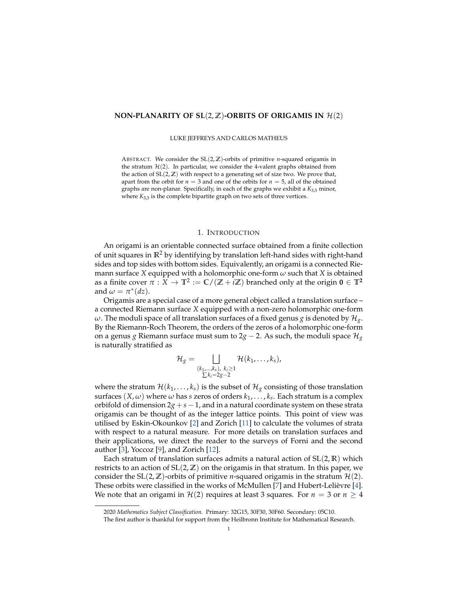### **NON-PLANARITY OF SL** $(2, \mathbb{Z})$ **-ORBITS OF ORIGAMIS IN**  $\mathcal{H}(2)$

LUKE JEFFREYS AND CARLOS MATHEUS

ABSTRACT. We consider the SL(2, **Z**)-orbits of primitive *n*-squared origamis in the stratum  $H(2)$ . In particular, we consider the 4-valent graphs obtained from the action of  $SL(2, \mathbb{Z})$  with respect to a generating set of size two. We prove that, apart from the orbit for  $n = 3$  and one of the orbits for  $n = 5$ , all of the obtained graphs are non-planar. Specifically, in each of the graphs we exhibit a *K*3,3 minor, where *K*<sub>3,3</sub> is the complete bipartite graph on two sets of three vertices.

#### 1. INTRODUCTION

An origami is an orientable connected surface obtained from a finite collection of unit squares in **R**<sup>2</sup> by identifying by translation left-hand sides with right-hand sides and top sides with bottom sides. Equivalently, an origami is a connected Riemann surface *X* equipped with a holomorphic one-form *ω* such that *X* is obtained as a finite cover  $\pi: X \to \mathbb{T}^2 := \mathbb{C}/(\mathbb{Z} + i\mathbb{Z})$  branched only at the origin  $\mathbf{0} \in \mathbb{T}^2$ and  $\omega = \pi^*(dz)$ .

Origamis are a special case of a more general object called a translation surface – a connected Riemann surface *X* equipped with a non-zero holomorphic one-form *ω*. The moduli space of all translation surfaces of a fixed genus *g* is denoted by  $\mathcal{H}_{g}$ . By the Riemann-Roch Theorem, the orders of the zeros of a holomorphic one-form on a genus *g* Riemann surface must sum to  $2g - 2$ . As such, the moduli space  $\mathcal{H}_g$ is naturally stratified as

$$
\mathcal{H}_{g} = \bigsqcup_{\substack{(k_1,\ldots,k_s), \ k_i \geq 1 \\ \sum k_i = 2g-2}} \mathcal{H}(k_1,\ldots,k_s),
$$

where the stratum  $\mathcal{H}(k_1, \ldots, k_s)$  is the subset of  $\mathcal{H}_{g}$  consisting of those translation surfaces  $(X, \omega)$  where  $\omega$  has  $s$  zeros of orders  $k_1, \ldots, k_s$ . Each stratum is a complex orbifold of dimension  $2g + s - 1$ , and in a natural coordinate system on these strata origamis can be thought of as the integer lattice points. This point of view was utilised by Eskin-Okounkov [\[2\]](#page-7-0) and Zorich [\[11\]](#page-8-0) to calculate the volumes of strata with respect to a natural measure. For more details on translation surfaces and their applications, we direct the reader to the surveys of Forni and the second author [\[3\]](#page-7-1), Yoccoz [\[9\]](#page-8-1), and Zorich [\[12\]](#page-8-2).

Each stratum of translation surfaces admits a natural action of SL(2, **R**) which restricts to an action of  $SL(2, \mathbb{Z})$  on the origamis in that stratum. In this paper, we consider the  $SL(2, \mathbb{Z})$ -orbits of primitive *n*-squared origamis in the stratum  $\mathcal{H}(2)$ . These orbits were classified in the works of McMullen [\[7\]](#page-7-2) and Hubert-Lelièvre [[4\]](#page-7-3). We note that an origami in  $\mathcal{H}(2)$  requires at least 3 squares. For  $n = 3$  or  $n \geq 4$ 

<sup>2020</sup> *Mathematics Subject Classification.* Primary: 32G15, 30F30, 30F60. Secondary: 05C10.

The first author is thankful for support from the Heilbronn Institute for Mathematical Research.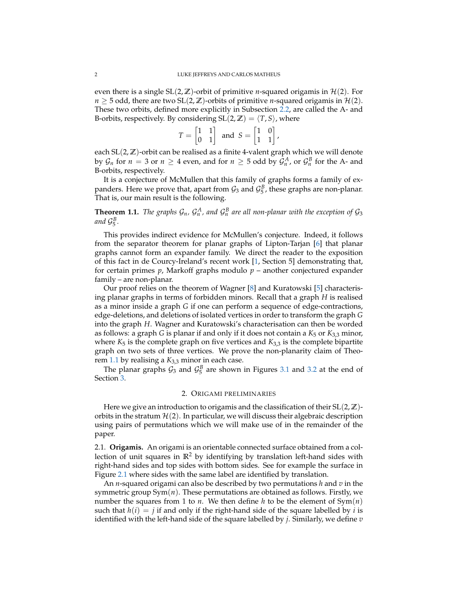even there is a single  $SL(2, \mathbb{Z})$ -orbit of primitive *n*-squared origamis in  $\mathcal{H}(2)$ . For *n*  $\geq$  5 odd, there are two SL(2,  $\mathbb{Z}$ )-orbits of primitive *n*-squared origamis in  $\mathcal{H}(2)$ . These two orbits, defined more explicitly in Subsection [2.2,](#page-2-0) are called the A- and B-orbits, respectively. By considering  $SL(2, \mathbb{Z}) = \langle T, S \rangle$ , where

$$
T = \begin{bmatrix} 1 & 1 \\ 0 & 1 \end{bmatrix} \text{ and } S = \begin{bmatrix} 1 & 0 \\ 1 & 1 \end{bmatrix},
$$

each SL(2, **Z**)-orbit can be realised as a finite 4-valent graph which we will denote by  $\mathcal{G}_n$  for  $n = 3$  or  $n \geq 4$  even, and for  $n \geq 5$  odd by  $\mathcal{G}_n^A$ , or  $\mathcal{G}_n^B$  for the A- and B-orbits, respectively.

It is a conjecture of McMullen that this family of graphs forms a family of expanders. Here we prove that, apart from  $\mathcal{G}_3$  and  $\mathcal{G}_5^B$ , these graphs are non-planar. That is, our main result is the following.

<span id="page-1-0"></span>**Theorem 1.1.** *The graphs*  $\mathcal{G}_n$ *,*  $\mathcal{G}_n^A$ *, and*  $\mathcal{G}_n^B$  *are all non-planar with the exception of*  $\mathcal{G}_3$ *and* G *B* 5 *.*

This provides indirect evidence for McMullen's conjecture. Indeed, it follows from the separator theorem for planar graphs of Lipton-Tarjan [\[6\]](#page-7-4) that planar graphs cannot form an expander family. We direct the reader to the exposition of this fact in de Courcy-Ireland's recent work [\[1,](#page-7-5) Section 5] demonstrating that, for certain primes *p*, Markoff graphs modulo *p* – another conjectured expander family – are non-planar.

Our proof relies on the theorem of Wagner [\[8\]](#page-8-3) and Kuratowski [\[5\]](#page-7-6) characterising planar graphs in terms of forbidden minors. Recall that a graph *H* is realised as a minor inside a graph *G* if one can perform a sequence of edge-contractions, edge-deletions, and deletions of isolated vertices in order to transform the graph *G* into the graph *H*. Wagner and Kuratowski's characterisation can then be worded as follows: a graph *G* is planar if and only if it does not contain a *K*<sup>5</sup> or *K*3,3 minor, where  $K_5$  is the complete graph on five vertices and  $K_{3,3}$  is the complete bipartite graph on two sets of three vertices. We prove the non-planarity claim of Theorem [1.1](#page-1-0) by realising a *K*3,3 minor in each case.

The planar graphs  $\mathcal{G}_3$  and  $\mathcal{G}_5^B$  are shown in Figures [3.1](#page-6-0) and [3.2](#page-7-7) at the end of Section [3.](#page-3-0)

# 2. ORIGAMI PRELIMINARIES

Here we give an introduction to origamis and the classification of their SL(2, **Z**) orbits in the stratum  $\mathcal{H}(2)$ . In particular, we will discuss their algebraic description using pairs of permutations which we will make use of in the remainder of the paper.

2.1. **Origamis.** An origami is an orientable connected surface obtained from a collection of unit squares in  $\mathbb{R}^2$  by identifying by translation left-hand sides with right-hand sides and top sides with bottom sides. See for example the surface in Figure [2.1](#page-2-1) where sides with the same label are identified by translation.

An *n*-squared origami can also be described by two permutations *h* and *v* in the symmetric group  $Sym(n)$ . These permutations are obtained as follows. Firstly, we number the squares from 1 to *n*. We then define *h* to be the element of Sym(*n*) such that  $h(i) = j$  if and only if the right-hand side of the square labelled by *i* is identified with the left-hand side of the square labelled by *j*. Similarly, we define *v*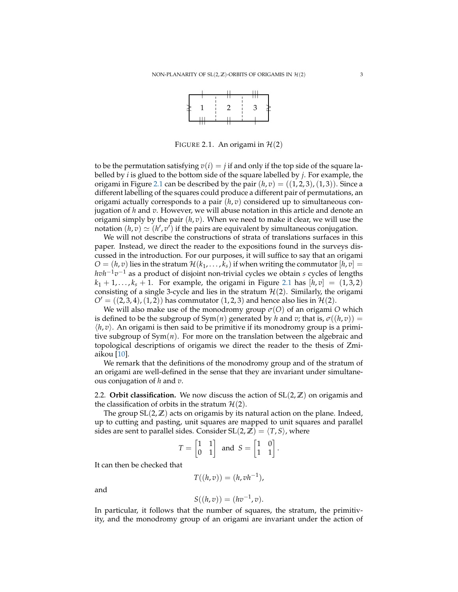

FIGURE 2.1. An origami in  $H(2)$ 

<span id="page-2-1"></span>to be the permutation satisfying  $v(i) = j$  if and only if the top side of the square labelled by *i* is glued to the bottom side of the square labelled by *j*. For example, the origami in Figure [2.1](#page-2-1) can be described by the pair  $(h, v) = ((1, 2, 3), (1, 3))$ . Since a different labelling of the squares could produce a different pair of permutations, an origami actually corresponds to a pair (*h*, *v*) considered up to simultaneous conjugation of *h* and *v*. However, we will abuse notation in this article and denote an origami simply by the pair  $(h, v)$ . When we need to make it clear, we will use the notation  $(h, v) \simeq (h', v')$  if the pairs are equivalent by simultaneous conjugation.

We will not describe the constructions of strata of translations surfaces in this paper. Instead, we direct the reader to the expositions found in the surveys discussed in the introduction. For our purposes, it will suffice to say that an origami  $O = (h, v)$  lies in the stratum  $\mathcal{H}(k_1, \ldots, k_s)$  if when writing the commutator  $[h, v] =$ *hvh*<sup>−1</sup>*v*<sup>−1</sup> as a product of disjoint non-trivial cycles we obtain *s* cycles of lengths  $k_1 + 1, \ldots, k_s + 1$ . For example, the origami in Figure [2.1](#page-2-1) has  $[h, v] = (1, 3, 2)$ consisting of a single 3-cycle and lies in the stratum  $H(2)$ . Similarly, the origami  $O' = ((2, 3, 4), (1, 2))$  has commutator  $(1, 2, 3)$  and hence also lies in  $\mathcal{H}(2)$ .

We will also make use of the monodromy group *σ*(*O*) of an origami *O* which is defined to be the subgroup of  $Sym(n)$  generated by *h* and *v*; that is,  $\sigma((h, v)) =$  $\langle h, v \rangle$ . An origami is then said to be primitive if its monodromy group is a primitive subgroup of Sym(*n*). For more on the translation between the algebraic and topological descriptions of origamis we direct the reader to the thesis of Zmiaikou [\[10\]](#page-8-4).

We remark that the definitions of the monodromy group and of the stratum of an origami are well-defined in the sense that they are invariant under simultaneous conjugation of *h* and *v*.

<span id="page-2-0"></span>2.2. **Orbit classification.** We now discuss the action of  $SL(2, \mathbb{Z})$  on origamis and the classification of orbits in the stratum  $\mathcal{H}(2)$ .

The group  $SL(2, \mathbb{Z})$  acts on origamis by its natural action on the plane. Indeed, up to cutting and pasting, unit squares are mapped to unit squares and parallel sides are sent to parallel sides. Consider  $SL(2, \mathbb{Z}) = \langle T, S \rangle$ , where

$$
T = \begin{bmatrix} 1 & 1 \\ 0 & 1 \end{bmatrix} \text{ and } S = \begin{bmatrix} 1 & 0 \\ 1 & 1 \end{bmatrix}.
$$

It can then be checked that

$$
T((h,v)) = (h,vh^{-1}),
$$

and

$$
S((h,v))=(hv^{-1},v).
$$

In particular, it follows that the number of squares, the stratum, the primitivity, and the monodromy group of an origami are invariant under the action of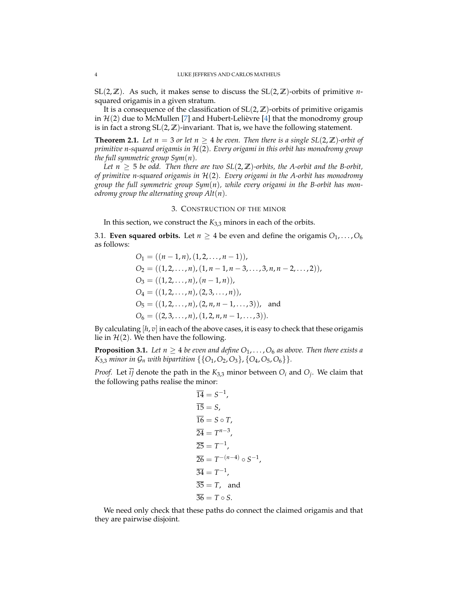SL(2,  $\mathbb{Z}$ ). As such, it makes sense to discuss the SL(2,  $\mathbb{Z}$ )-orbits of primitive *n*squared origamis in a given stratum.

It is a consequence of the classification of  $SL(2, \mathbb{Z})$ -orbits of primitive origamis in  $H(2)$  due to McMullen [\[7\]](#page-7-2) and Hubert-Lelièvre [[4\]](#page-7-3) that the monodromy group is in fact a strong SL(2, **Z**)-invariant. That is, we have the following statement.

**Theorem 2.1.** Let  $n = 3$  or let  $n \geq 4$  be even. Then there is a single  $SL(2, \mathbb{Z})$ -orbit of *primitive n-squared origamis in* H(2)*. Every origami in this orbit has monodromy group the full symmetric group Sym*(*n*)*.*

*Let*  $n \geq 5$  *be odd. Then there are two*  $SL(2, \mathbb{Z})$ -orbits, the A-orbit and the B-orbit, *of primitive n-squared origamis in* H(2)*. Every origami in the A-orbit has monodromy group the full symmetric group Sym*(*n*)*, while every origami in the B-orbit has monodromy group the alternating group Alt*(*n*)*.*

# 3. CONSTRUCTION OF THE MINOR

<span id="page-3-0"></span>In this section, we construct the  $K_{3,3}$  minors in each of the orbits.

3.1. **Even squared orbits.** Let  $n \geq 4$  be even and define the origamis  $O_1, \ldots, O_6$ as follows:

$$
O_1 = ((n - 1, n), (1, 2, ..., n - 1)),
$$
  
\n
$$
O_2 = ((1, 2, ..., n), (1, n - 1, n - 3, ..., 3, n, n - 2, ..., 2)),
$$
  
\n
$$
O_3 = ((1, 2, ..., n), (n - 1, n)),
$$
  
\n
$$
O_4 = ((1, 2, ..., n), (2, 3, ..., n)),
$$
  
\n
$$
O_5 = ((1, 2, ..., n), (2, n, n - 1, ..., 3)),
$$
 and  
\n
$$
O_6 = ((2, 3, ..., n), (1, 2, n, n - 1, ..., 3)).
$$

By calculating [*h*, *v*] in each of the above cases, it is easy to check that these origamis lie in  $H(2)$ . We then have the following.

<span id="page-3-1"></span>**Proposition 3.1.** Let  $n \geq 4$  be even and define  $O_1, \ldots, O_6$  as above. Then there exists a *K*<sub>3,3</sub> *minor in*  $\mathcal{G}_n$  *with bipartition* { { $O_1$ ,  $O_2$ ,  $O_3$ }, { $O_4$ ,  $O_5$ ,  $O_6$ }}.

*Proof.* Let *ij* denote the path in the  $K_{3,3}$  minor between  $O_i$  and  $O_j$ . We claim that the following paths realise the minor:

$$
\overline{14} = S^{-1},
$$
  
\n
$$
\overline{15} = S,
$$
  
\n
$$
\overline{16} = S \circ T,
$$
  
\n
$$
\overline{24} = T^{n-3},
$$
  
\n
$$
\overline{25} = T^{-1},
$$
  
\n
$$
\overline{26} = T^{-(n-4)} \circ S^{-1},
$$
  
\n
$$
\overline{34} = T^{-1},
$$
  
\n
$$
\overline{35} = T, \text{ and}
$$
  
\n
$$
\overline{36} = T \circ S.
$$

We need only check that these paths do connect the claimed origamis and that they are pairwise disjoint.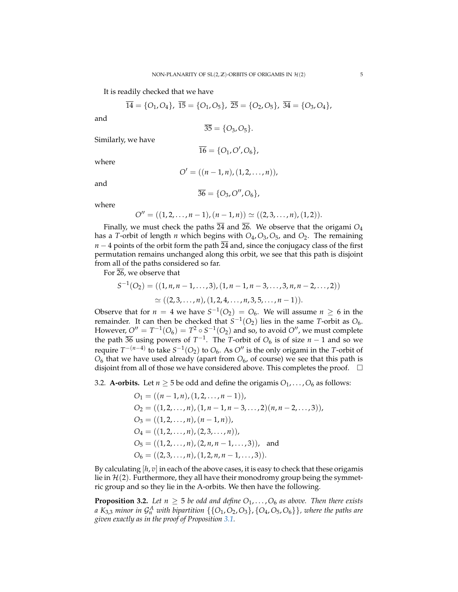It is readily checked that we have

$$
\overline{14} = \{O_1, O_4\}, \ \overline{15} = \{O_1, O_5\}, \ \overline{25} = \{O_2, O_5\}, \ \overline{34} = \{O_3, O_4\},
$$

and

$$
\overline{35} = \{O_3, O_5\}.
$$

Similarly, we have

$$
\overline{\mathbf{16}}=\{O_1,O',O_6\},
$$

where

$$
O' = ((n - 1, n), (1, 2, \ldots, n)),
$$

and

$$
\overline{36} = \{O_3, O'', O_6\},\
$$

where

$$
O'' = ((1, 2, \ldots, n-1), (n-1, n)) \simeq ((2, 3, \ldots, n), (1, 2)).
$$

Finally, we must check the paths  $\overline{24}$  and  $\overline{26}$ . We observe that the origami  $O_4$ has a *T*-orbit of length *n* which begins with *O*4,*O*3,*O*5, and *O*2. The remaining *n* − 4 points of the orbit form the path  $\overline{24}$  and, since the conjugacy class of the first permutation remains unchanged along this orbit, we see that this path is disjoint from all of the paths considered so far.

For  $26$ , we observe that

$$
S^{-1}(O_2) = ((1, n, n-1, \dots, 3), (1, n-1, n-3, \dots, 3, n, n-2, \dots, 2))
$$
  
 
$$
\simeq ((2, 3, \dots, n), (1, 2, 4, \dots, n, 3, 5, \dots, n-1)).
$$

Observe that for  $n = 4$  we have  $S^{-1}(O_2) = O_6$ . We will assume  $n \ge 6$  in the remainder. It can then be checked that  $S^{-1}(O_2)$  lies in the same *T*-orbit as  $O_6$ . However,  $O'' = T^{-1}(O_6) = T^2 \circ S^{-1}(O_2)$  and so, to avoid  $O''$ , we must complete the path  $\overline{36}$  using powers of  $T^{-1}$ . The *T*-orbit of  $O_6$  is of size  $n-1$  and so we require  $T^{-(n-4)}$  to take  $S^{-1}(O_2)$  to  $O_6$ . As  $O''$  is the only origami in the *T*-orbit of  $O_6$  that we have used already (apart from  $O_6$ , of course) we see that this path is disjoint from all of those we have considered above. This completes the proof.  $\Box$ 

3.2. **A-orbits.** Let  $n \ge 5$  be odd and define the origamis  $O_1, \ldots, O_6$  as follows:

$$
O_1 = ((n-1, n), (1, 2, ..., n-1)),
$$
  
\n
$$
O_2 = ((1, 2, ..., n), (1, n-1, n-3, ..., 2)(n, n-2, ..., 3)),
$$
  
\n
$$
O_3 = ((1, 2, ..., n), (n-1, n)),
$$
  
\n
$$
O_4 = ((1, 2, ..., n), (2, 3, ..., n)),
$$
  
\n
$$
O_5 = ((1, 2, ..., n), (2, n, n-1, ..., 3)),
$$
 and  
\n
$$
O_6 = ((2, 3, ..., n), (1, 2, n, n-1, ..., 3)).
$$

By calculating  $[h, v]$  in each of the above cases, it is easy to check that these origamis lie in  $\mathcal{H}(2)$ . Furthermore, they all have their monodromy group being the symmetric group and so they lie in the A-orbits. We then have the following.

**Proposition 3.2.** Let  $n \geq 5$  be odd and define  $O_1, \ldots, O_6$  as above. Then there exists *a*  $K_{3,3}$  *minor in*  $\mathcal{G}_n^A$  *with bipartition*  $\{\{O_1,O_2,O_3\}$ ,  $\{O_4,O_5,O_6\}\}$ , where the paths are *given exactly as in the proof of Proposition [3.1.](#page-3-1)*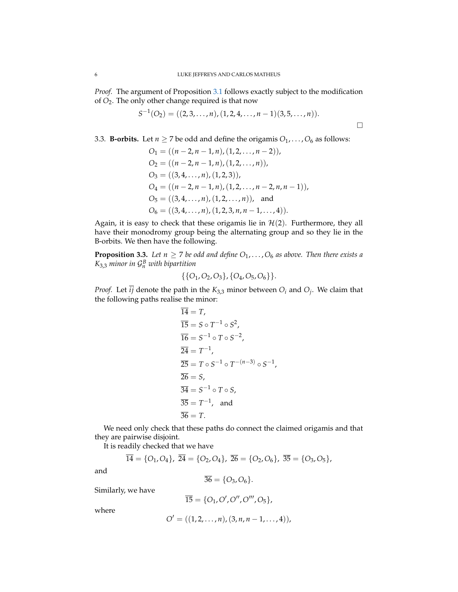*Proof.* The argument of Proposition [3.1](#page-3-1) follows exactly subject to the modification of *O*2. The only other change required is that now

$$
S^{-1}(O_2) = ((2,3,\ldots,n),(1,2,4,\ldots,n-1)(3,5,\ldots,n)).
$$

3.3. **B-orbits.** Let  $n \ge 7$  be odd and define the origamis  $O_1, \ldots, O_6$  as follows:

$$
O_1 = ((n - 2, n - 1, n), (1, 2, ..., n - 2)),
$$
  
\n
$$
O_2 = ((n - 2, n - 1, n), (1, 2, ..., n)),
$$
  
\n
$$
O_3 = ((3, 4, ..., n), (1, 2, 3)),
$$
  
\n
$$
O_4 = ((n - 2, n - 1, n), (1, 2, ..., n - 2, n, n - 1)),
$$
  
\n
$$
O_5 = ((3, 4, ..., n), (1, 2, ..., n)),
$$
 and  
\n
$$
O_6 = ((3, 4, ..., n), (1, 2, 3, n, n - 1, ..., 4)).
$$

Again, it is easy to check that these origamis lie in  $H(2)$ . Furthermore, they all have their monodromy group being the alternating group and so they lie in the B-orbits. We then have the following.

**Proposition 3.3.** *Let*  $n \ge 7$  *be odd and define*  $O_1, \ldots, O_6$  *as above. Then there exists a K*3,3 *minor in* G *B <sup>n</sup> with bipartition*

$$
\{\{O_1,O_2,O_3\},\{O_4,O_5,O_6\}\}.
$$

*Proof.* Let *ij* denote the path in the  $K_{3,3}$  minor between  $O_i$  and  $O_j$ . We claim that the following paths realise the minor:

$$
\overline{14} = T,
$$
  
\n
$$
\overline{15} = S \circ T^{-1} \circ S^{2},
$$
  
\n
$$
\overline{16} = S^{-1} \circ T \circ S^{-2},
$$
  
\n
$$
\overline{24} = T^{-1},
$$
  
\n
$$
\overline{25} = T \circ S^{-1} \circ T^{-(n-3)} \circ S^{-1},
$$
  
\n
$$
\overline{26} = S,
$$
  
\n
$$
\overline{34} = S^{-1} \circ T \circ S,
$$
  
\n
$$
\overline{35} = T^{-1},
$$
 and  
\n
$$
\overline{36} = T.
$$

We need only check that these paths do connect the claimed origamis and that they are pairwise disjoint.

It is readily checked that we have

$$
\overline{14} = \{O_1, O_4\}, \ \overline{24} = \{O_2, O_4\}, \ \overline{26} = \{O_2, O_6\}, \ \overline{35} = \{O_3, O_5\},
$$

and

$$
\overline{36} = \{O_3, O_6\}.
$$

Similarly, we have

$$
\overline{15} = \{O_1,O',O'',O''',O_5\},
$$

where

$$
O' = ((1, 2, \ldots, n), (3, n, n-1, \ldots, 4)),
$$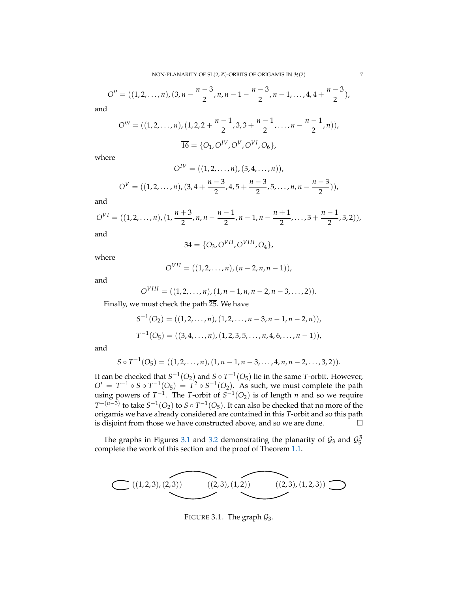$$
O'' = ((1, 2, ..., n), (3, n - \frac{n-3}{2}, n, n-1 - \frac{n-3}{2}, n-1, ..., 4, 4 + \frac{n-3}{2}),
$$

and

$$
O''' = ((1, 2, ..., n), (1, 2, 2 + \frac{n-1}{2}, 3, 3 + \frac{n-1}{2}, ..., n - \frac{n-1}{2}, n)),
$$
  

$$
\overline{16} = \{O_1, O^{IV}, O^{V}, O^{VI}, O_6\},
$$

where

$$
O^{IV} = ((1, 2, ..., n), (3, 4, ..., n)),
$$

$$
O^{V} = ((1, 2, ..., n), (3, 4 + \frac{n-3}{2}, 4, 5 + \frac{n-3}{2}, 5, ..., n, n - \frac{n-3}{2})),
$$

and

$$
O^{VI} = ((1, 2, ..., n), (1, \frac{n+3}{2}, n, n - \frac{n-1}{2}, n-1, n - \frac{n+1}{2}, ..., 3 + \frac{n-1}{2}, 3, 2)),
$$

and

$$
\overline{34} = \{O_3, O^{VII}, O^{VIII}, O_4\},\
$$

where

$$
O^{VII} = ((1,2,\ldots,n),(n-2,n,n-1)),
$$

and

$$
O^{VIII} = ((1,2,\ldots,n),(1,n-1,n,n-2,n-3,\ldots,2)).
$$

Finally, we must check the path  $25$ . We have

$$
S^{-1}(O_2) = ((1, 2, ..., n), (1, 2, ..., n-3, n-1, n-2, n)),
$$
  

$$
T^{-1}(O_5) = ((3, 4, ..., n), (1, 2, 3, 5, ..., n, 4, 6, ..., n-1)),
$$

and

$$
S \circ T^{-1}(O_5) = ((1, 2, ..., n), (1, n-1, n-3, ..., 4, n, n-2, ..., 3, 2)).
$$

It can be checked that  $S^{-1}(O_2)$  and  $S \circ T^{-1}(O_5)$  lie in the same *T*-orbit. However,  $O' = T^{-1} \circ S \circ T^{-1}(O_5) = T^2 \circ S^{-1}(O_2)$ . As such, we must complete the path using powers of  $T^{-1}$ . The *T*-orbit of  $S^{-1}(O_2)$  is of length *n* and so we require *T*<sup>−(*n*−3)</sup> to take *S*<sup>−1</sup>(*O*<sub>2</sub>) to *S* ∘ *T*<sup>−1</sup>(*O*<sub>5</sub>). It can also be checked that no more of the origamis we have already considered are contained in this *T*-orbit and so this path is disjoint from those we have constructed above, and so we are done.  $\Box$ 

The graphs in Figures [3.1](#page-6-0) and [3.2](#page-7-7) demonstrating the planarity of  $\mathcal{G}_3$  and  $\mathcal{G}_5^B$ complete the work of this section and the proof of Theorem [1.1.](#page-1-0)

<span id="page-6-0"></span>

FIGURE 3.1. The graph  $\mathcal{G}_3$ .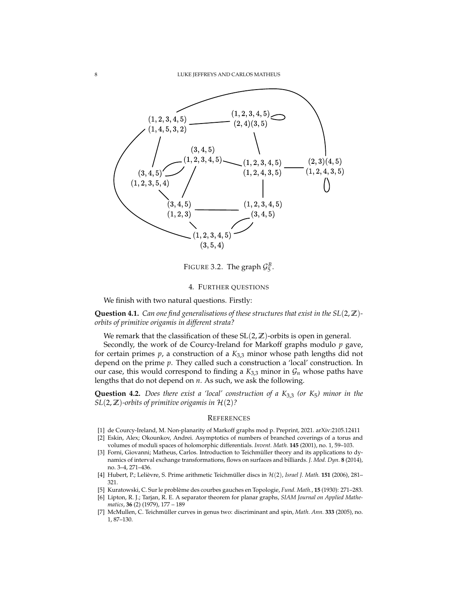<span id="page-7-7"></span>

FIGURE 3.2. The graph  $\mathcal{G}_5^B$ .

## 4. FURTHER QUESTIONS

We finish with two natural questions. Firstly:

**Question 4.1.** *Can one find generalisations of these structures that exist in the SL*(2, **Z**) *orbits of primitive origamis in different strata?*

We remark that the classification of these SL(2, **Z**)-orbits is open in general.

Secondly, the work of de Courcy-Ireland for Markoff graphs modulo *p* gave, for certain primes  $p$ , a construction of a  $K_{3,3}$  minor whose path lengths did not depend on the prime *p*. They called such a construction a 'local' construction. In our case, this would correspond to finding a  $K_{3,3}$  minor in  $\mathcal{G}_n$  whose paths have lengths that do not depend on *n*. As such, we ask the following.

**Question 4.2.** *Does there exist a 'local' construction of a K*3,3 *(or K*5*) minor in the SL*(2,  $\mathbb{Z}$ )-orbits of primitive origamis in  $\mathcal{H}(2)$ ?

### **REFERENCES**

- <span id="page-7-5"></span>[1] de Courcy-Ireland, M. Non-planarity of Markoff graphs mod p. Preprint, 2021. arXiv:2105.12411
- <span id="page-7-0"></span>[2] Eskin, Alex; Okounkov, Andrei. Asymptotics of numbers of branched coverings of a torus and volumes of moduli spaces of holomorphic differentials. *Invent. Math.* **145** (2001), no. 1, 59–103.
- <span id="page-7-1"></span>[3] Forni, Giovanni; Matheus, Carlos. Introduction to Teichmüller theory and its applications to dynamics of interval exchange transformations, flows on surfaces and billiards. *J. Mod. Dyn.* **8** (2014), no. 3–4, 271–436.
- <span id="page-7-3"></span>[4] Hubert, P.; Lelièvre, S. Prime arithmetic Teichmüller discs in  $H(2)$ , *Israel J. Math.* **151** (2006), 281– 321.
- <span id="page-7-6"></span>[5] Kuratowski, C. Sur le probleme des courbes gauches en Topologie, ` *Fund. Math.*, **15** (1930): 271–283.
- <span id="page-7-4"></span>[6] Lipton, R. J.; Tarjan, R. E. A separator theorem for planar graphs, *SIAM Journal on Applied Mathematics*, **36** (2) (1979), 177 – 189
- <span id="page-7-2"></span>[7] McMullen, C. Teichmüller curves in genus two: discriminant and spin, Math. Ann. 333 (2005), no. 1, 87–130.